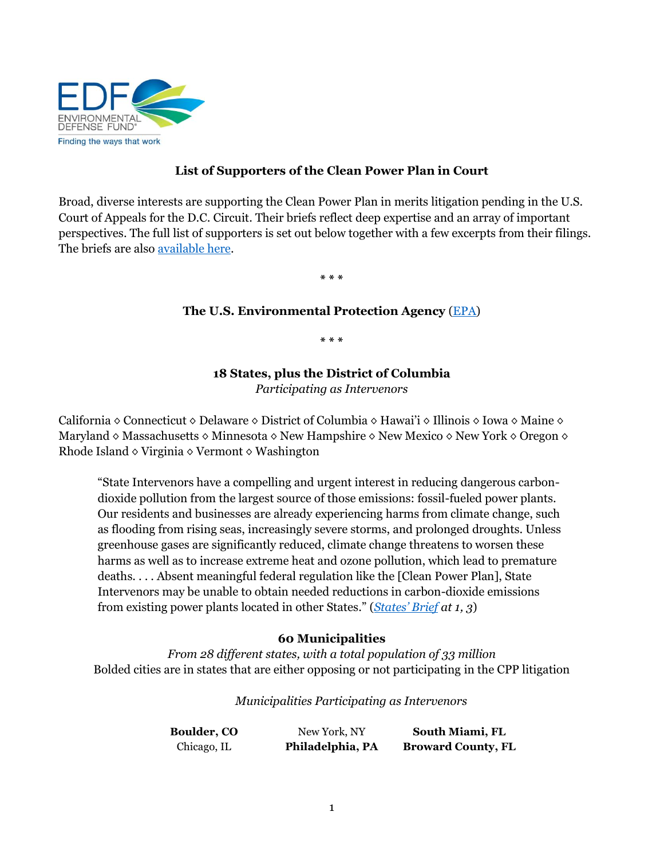

# **List of Supporters of the Clean Power Plan in Court**

Broad, diverse interests are supporting the Clean Power Plan in merits litigation pending in the U.S. Court of Appeals for the D.C. Circuit. Their briefs reflect deep expertise and an array of important perspectives. The full list of supporters is set out below together with a few excerpts from their filings. The briefs are also [available here.](https://www.edf.org/climate/clean-power-plan-case-resources)

**\* \* \***

### **The U.S. Environmental Protection Agency** [\(EPA\)](https://www.edf.org/sites/default/files/content/epa_merits_brief_-_march_28_-_2016.pdf)

**\* \* \***

# **18 States, plus the District of Columbia**

*Participating as Intervenors*

California ◊ Connecticut ◊ Delaware ◊ District of Columbia ◊ Hawai'i ◊ Illinois ◊ Iowa ◊ Maine ◊ Maryland ◊ Massachusetts ◊ Minnesota ◊ New Hampshire ◊ New Mexico ◊ New York ◊ Oregon ◊ Rhode Island  $\diamond$  Virginia  $\diamond$  Vermont  $\diamond$  Washington

"State Intervenors have a compelling and urgent interest in reducing dangerous carbondioxide pollution from the largest source of those emissions: fossil-fueled power plants. Our residents and businesses are already experiencing harms from climate change, such as flooding from rising seas, increasingly severe storms, and prolonged droughts. Unless greenhouse gases are significantly reduced, climate change threatens to worsen these harms as well as to increase extreme heat and ozone pollution, which lead to premature deaths. . . . Absent meaningful federal regulation like the [Clean Power Plan], State Intervenors may be unable to obtain needed reductions in carbon-dioxide emissions from existing power plants located in other States." (*[States' Brief](https://www.edf.org/sites/default/files/content/cities_and_states.pdf) at 1, 3*)

# **60 Municipalities**

*From 28 different states, with a total population of 33 million*  Bolded cities are in states that are either opposing or not participating in the CPP litigation

*Municipalities Participating as Intervenors*

| <b>Boulder, CO</b> | New York, NY     | South Miami, FL           |
|--------------------|------------------|---------------------------|
| Chicago, IL        | Philadelphia, PA | <b>Broward County, FL</b> |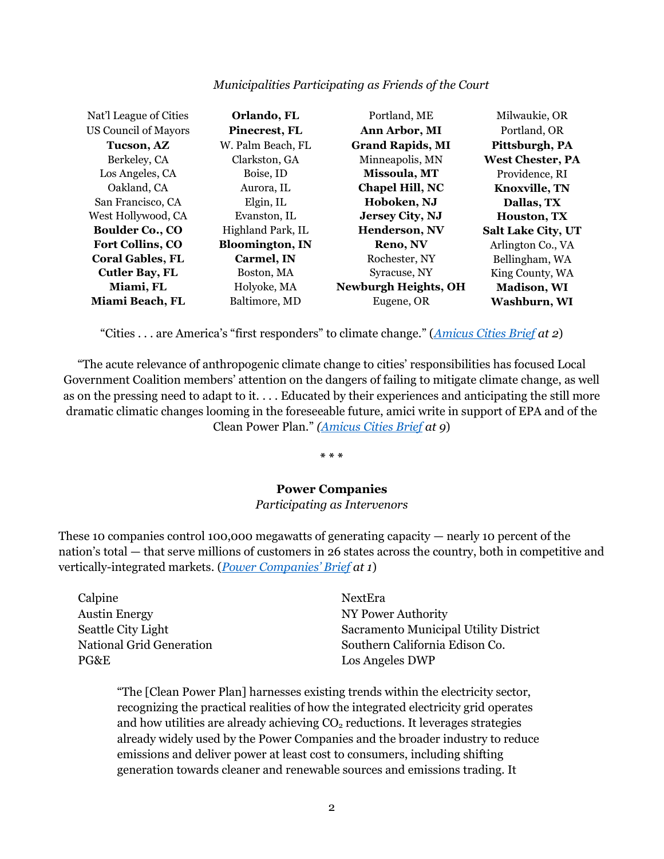| Municipalities Participating as Friends of the Court |  |  |
|------------------------------------------------------|--|--|
|                                                      |  |  |

| Nat'l League of Cities      | Orlando, FL            | Portland, ME                | Milwaukie, OR             |
|-----------------------------|------------------------|-----------------------------|---------------------------|
| <b>US Council of Mayors</b> | Pinecrest, FL          | Ann Arbor, MI               | Portland, OR              |
| Tucson, AZ                  | W. Palm Beach, FL      | <b>Grand Rapids, MI</b>     | Pittsburgh, PA            |
| Berkeley, CA                | Clarkston, GA          | Minneapolis, MN             | <b>West Chester, PA</b>   |
| Los Angeles, CA             | Boise, ID              | Missoula, MT                | Providence, RI            |
| Oakland, CA                 | Aurora, IL             | Chapel Hill, NC             | <b>Knoxville, TN</b>      |
| San Francisco, CA           | Elgin, IL              | Hoboken, NJ                 | Dallas, TX                |
| West Hollywood, CA          | Evanston, IL           | Jersey City, NJ             | <b>Houston, TX</b>        |
| <b>Boulder Co., CO</b>      | Highland Park, IL      | Henderson, NV               | <b>Salt Lake City, UT</b> |
| <b>Fort Collins, CO</b>     | <b>Bloomington, IN</b> | Reno, NV                    | Arlington Co., VA         |
| <b>Coral Gables, FL</b>     | Carmel, IN             | Rochester, NY               | Bellingham, WA            |
| <b>Cutler Bay, FL</b>       | Boston, MA             | Syracuse, NY                | King County, WA           |
| Miami, FL                   | Holyoke, MA            | <b>Newburgh Heights, OH</b> | <b>Madison</b> , WI       |
| Miami Beach, FL             | Baltimore, MD          | Eugene, OR                  | Washburn, WI              |

"Cities . . . are America's "first responders" to climate change." (*[Amicus Cities Brief](https://www.edf.org/sites/default/files/content/2016.04.01_cities_amicus_brief_for_epa.pdf) at 2*)

"The acute relevance of anthropogenic climate change to cities' responsibilities has focused Local Government Coalition members' attention on the dangers of failing to mitigate climate change, as well as on the pressing need to adapt to it. . . . Educated by their experiences and anticipating the still more dramatic climatic changes looming in the foreseeable future, amici write in support of EPA and of the Clean Power Plan." *[\(Amicus Cities Brief](https://www.edf.org/sites/default/files/content/2016.04.01_cities_amicus_brief_for_epa.pdf) at 9*)

**\* \* \***

### **Power Companies**

### *Participating as Intervenors*

These 10 companies control 100,000 megawatts of generating capacity — nearly 10 percent of the nation's total — that serve millions of customers in 26 states across the country, both in competitive and vertically-integrated markets. (*[Power Companies' Brief](https://www.edf.org/sites/default/files/content/power_companies.pdf) at 1*)

| Calpine                         | <b>NextEra</b>                        |
|---------------------------------|---------------------------------------|
| Austin Energy                   | NY Power Authority                    |
| Seattle City Light              | Sacramento Municipal Utility District |
| <b>National Grid Generation</b> | Southern California Edison Co.        |
| PG&E                            | Los Angeles DWP                       |

"The [Clean Power Plan] harnesses existing trends within the electricity sector, recognizing the practical realities of how the integrated electricity grid operates and how utilities are already achieving  $CO<sub>2</sub>$  reductions. It leverages strategies already widely used by the Power Companies and the broader industry to reduce emissions and deliver power at least cost to consumers, including shifting generation towards cleaner and renewable sources and emissions trading. It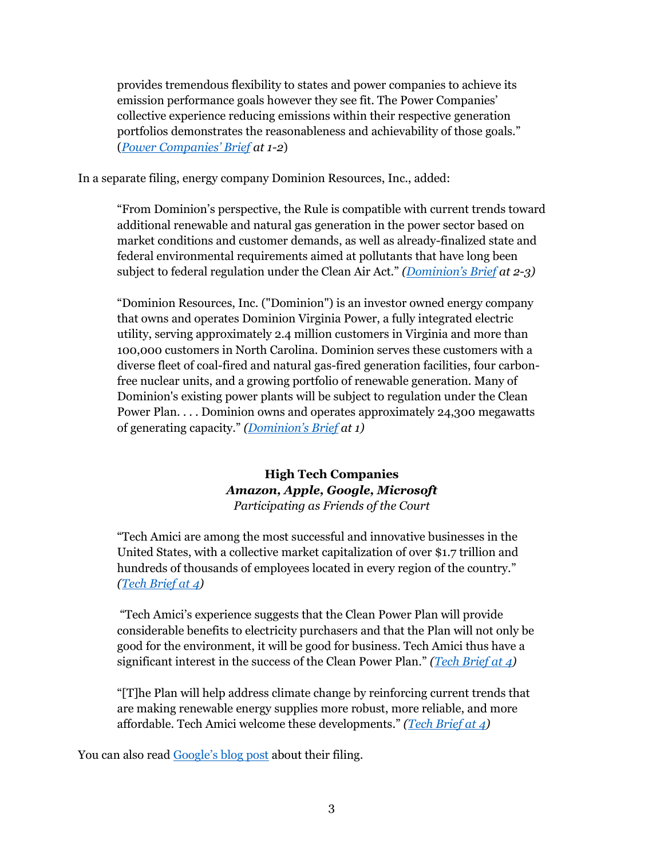provides tremendous flexibility to states and power companies to achieve its emission performance goals however they see fit. The Power Companies' collective experience reducing emissions within their respective generation portfolios demonstrates the reasonableness and achievability of those goals." (*[Power Companies' Brief](https://www.edf.org/sites/default/files/content/power_companies.pdf) at 1-2*)

In a separate filing, energy company Dominion Resources, Inc., added:

"From Dominion's perspective, the Rule is compatible with current trends toward additional renewable and natural gas generation in the power sector based on market conditions and customer demands, as well as already-finalized state and federal environmental requirements aimed at pollutants that have long been subject to federal regulation under the Clean Air Act." *([Dominion's Brief](https://www.edf.org/sites/default/files/content/2016.04.01_dominion_amicus_brief_for_epa.pdf) at 2-3)*

"Dominion Resources, Inc. ("Dominion") is an investor owned energy company that owns and operates Dominion Virginia Power, a fully integrated electric utility, serving approximately 2.4 million customers in Virginia and more than 100,000 customers in North Carolina. Dominion serves these customers with a diverse fleet of coal-fired and natural gas-fired generation facilities, four carbonfree nuclear units, and a growing portfolio of renewable generation. Many of Dominion's existing power plants will be subject to regulation under the Clean Power Plan. . . . Dominion owns and operates approximately 24,300 megawatts of generating capacity." *([Dominion's](https://www.edf.org/sites/default/files/content/2016.04.01_dominion_amicus_brief_for_epa.pdf) Brief at 1)*

# **High Tech Companies** *Amazon, Apple, Google, Microsoft Participating as Friends of the Court*

"Tech Amici are among the most successful and innovative businesses in the United States, with a collective market capitalization of over \$1.7 trillion and hundreds of thousands of employees located in every region of the country." *[\(Tech Brief at 4\)](https://www.edf.org/sites/default/files/content/2016.04.01_major_tech_companies_amicus_brief_for_epa.pdf)*

"Tech Amici's experience suggests that the Clean Power Plan will provide considerable benefits to electricity purchasers and that the Plan will not only be good for the environment, it will be good for business. Tech Amici thus have a significant interest in the success of the Clean Power Plan." *[\(Tech Brief at 4\)](https://www.edf.org/sites/default/files/content/2016.04.01_major_tech_companies_amicus_brief_for_epa.pdf)*

"[T]he Plan will help address climate change by reinforcing current trends that are making renewable energy supplies more robust, more reliable, and more affordable. Tech Amici welcome these developments." *[\(Tech Brief at 4\)](https://www.edf.org/sites/default/files/content/2016.04.01_major_tech_companies_amicus_brief_for_epa.pdf)*

You can also read [Google's blog post](http://googlegreenblog.blogspot.com/2016/04/google-unites-with-other-tech-companies.html) about their filing.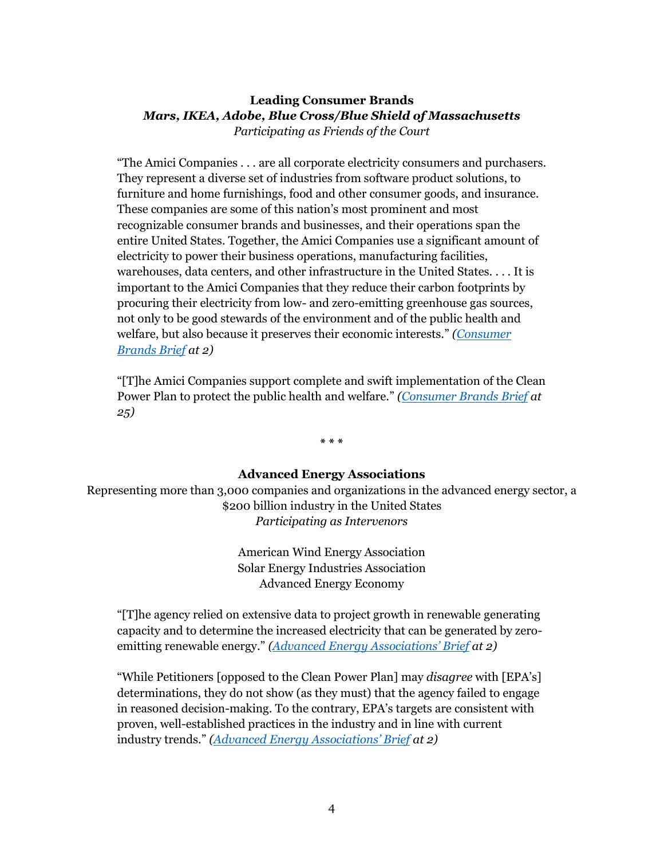# **Leading Consumer Brands** *Mars, IKEA, Adobe, Blue Cross/Blue Shield of Massachusetts Participating as Friends of the Court*

"The Amici Companies . . . are all corporate electricity consumers and purchasers. They represent a diverse set of industries from software product solutions, to furniture and home furnishings, food and other consumer goods, and insurance. These companies are some of this nation's most prominent and most recognizable consumer brands and businesses, and their operations span the entire United States. Together, the Amici Companies use a significant amount of electricity to power their business operations, manufacturing facilities, warehouses, data centers, and other infrastructure in the United States. . . . It is important to the Amici Companies that they reduce their carbon footprints by procuring their electricity from low- and zero-emitting greenhouse gas sources, not only to be good stewards of the environment and of the public health and welfare, but also because it preserves their economic interests." *[\(Consumer](https://www.edf.org/sites/default/files/content/2016.04.01_adobe_mars_ikea_bcbs_ma_amicus_brief_for_epa.pdf)  [Brands Brief](https://www.edf.org/sites/default/files/content/2016.04.01_adobe_mars_ikea_bcbs_ma_amicus_brief_for_epa.pdf) at 2)*

"[T]he Amici Companies support complete and swift implementation of the Clean Power Plan to protect the public health and welfare." *[\(Consumer Brands Brief](https://www.edf.org/sites/default/files/content/2016.04.01_adobe_mars_ikea_bcbs_ma_amicus_brief_for_epa.pdf) at 25)*

**\* \* \***

### **Advanced Energy Associations**

Representing more than 3,000 companies and organizations in the advanced energy sector, a \$200 billion industry in the United States *Participating as Intervenors*

> American Wind Energy Association Solar Energy Industries Association Advanced Energy Economy

"[T]he agency relied on extensive data to project growth in renewable generating capacity and to determine the increased electricity that can be generated by zeroemitting renewable energy." *(Adva[nced Energy Associations' Brief](https://www.edf.org/sites/default/files/content/aee_awea_seia_brief.pdf) at 2)*

"While Petitioners [opposed to the Clean Power Plan] may *disagree* with [EPA's] determinations, they do not show (as they must) that the agency failed to engage in reasoned decision-making. To the contrary, EPA's targets are consistent with proven, well-established practices in the industry and in line with current industry trends." *([Advanced Energy Associations' Brief](https://www.edf.org/sites/default/files/content/aee_awea_seia_brief.pdf) at 2)*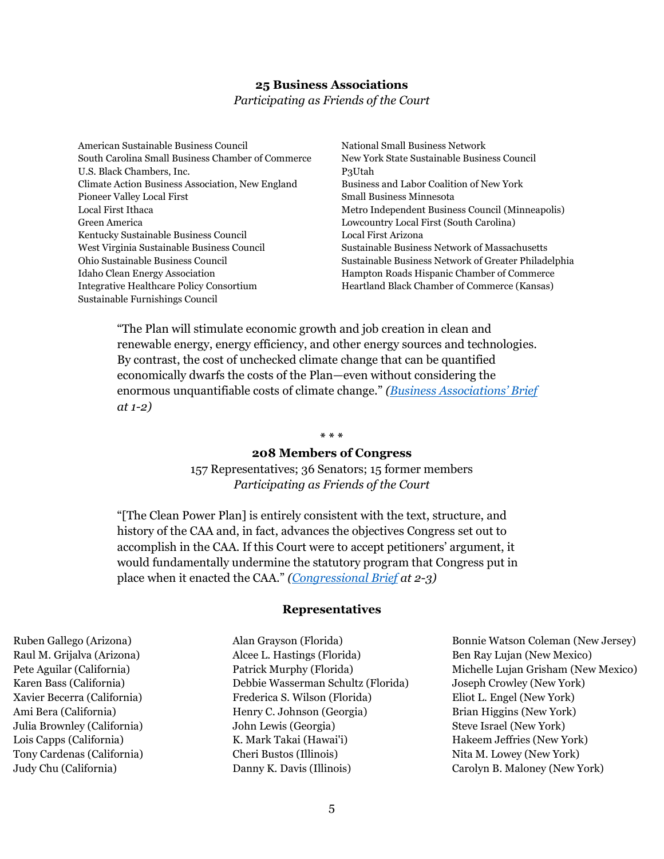### **25 Business Associations**

*Participating as Friends of the Court*

American Sustainable Business Council South Carolina Small Business Chamber of Commerce U.S. Black Chambers, Inc. Climate Action Business Association, New England Pioneer Valley Local First Local First Ithaca Green America Kentucky Sustainable Business Council West Virginia Sustainable Business Council Ohio Sustainable Business Council Idaho Clean Energy Association Integrative Healthcare Policy Consortium Sustainable Furnishings Council

National Small Business Network New York State Sustainable Business Council P3Utah Business and Labor Coalition of New York Small Business Minnesota Metro Independent Business Council (Minneapolis) Lowcountry Local First (South Carolina) Local First Arizona Sustainable Business Network of Massachusetts Sustainable Business Network of Greater Philadelphia Hampton Roads Hispanic Chamber of Commerce Heartland Black Chamber of Commerce (Kansas)

"The Plan will stimulate economic growth and job creation in clean and renewable energy, energy efficiency, and other energy sources and technologies. By contrast, the cost of unchecked climate change that can be quantified economically dwarfs the costs of the Plan—even without considering the enormous unquantifiable costs of climate change." *[\(Business Associations](https://www.edf.org/sites/default/files/content/2016.04.01_sustainable_business_organizations_amicus_brief_for_epa.pdf)' Brief at 1-2)*

#### **\* \* \***

### **208 Members of Congress**

157 Representatives; 36 Senators; 15 former members *Participating as Friends of the Court*

"[The Clean Power Plan] is entirely consistent with the text, structure, and history of the CAA and, in fact, advances the objectives Congress set out to accomplish in the CAA. If this Court were to accept petitioners' argument, it would fundamentally undermine the statutory program that Congress put in place when it enacted the CAA." *[\(Congressional Brief](https://www.edf.org/sites/default/files/content/2016.03.31_members_of_congress_amicus_brief_for_epa.pdf) at 2-3)*

#### **Representatives**

Ruben Gallego (Arizona) Raul M. Grijalva (Arizona) Pete Aguilar (California) Karen Bass (California) Xavier Becerra (California) Ami Bera (California) Julia Brownley (California) Lois Capps (California) Tony Cardenas (California) Judy Chu (California)

Alan Grayson (Florida) Alcee L. Hastings (Florida) Patrick Murphy (Florida) Debbie Wasserman Schultz (Florida) Frederica S. Wilson (Florida) Henry C. Johnson (Georgia) John Lewis (Georgia) K. Mark Takai (Hawai'i) Cheri Bustos (Illinois) Danny K. Davis (Illinois)

Bonnie Watson Coleman (New Jersey) Ben Ray Lujan (New Mexico) Michelle Lujan Grisham (New Mexico) Joseph Crowley (New York) Eliot L. Engel (New York) Brian Higgins (New York) Steve Israel (New York) Hakeem Jeffries (New York) Nita M. Lowey (New York) Carolyn B. Maloney (New York)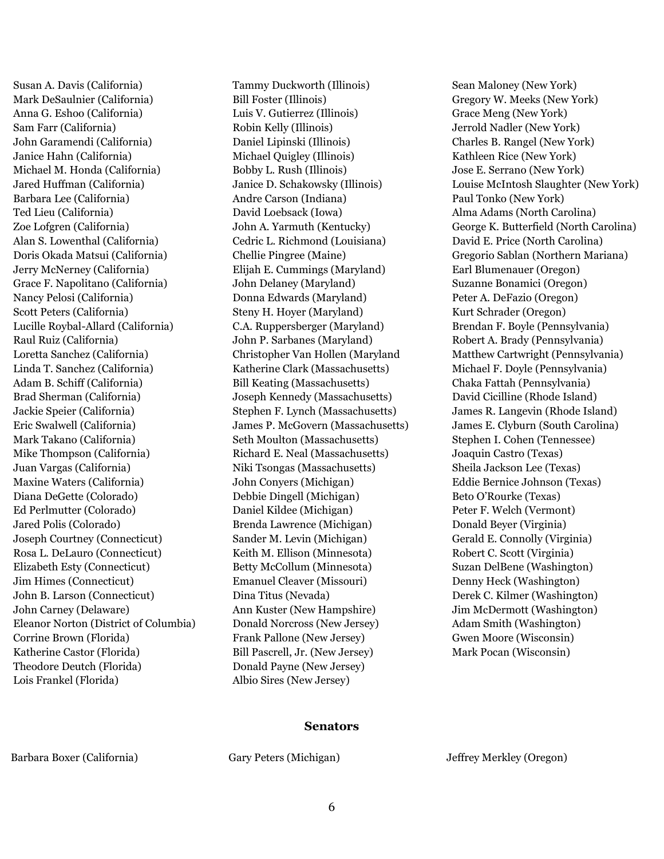Susan A. Davis (California) Mark DeSaulnier (California) Anna G. Eshoo (California) Sam Farr (California) John Garamendi (California) Janice Hahn (California) Michael M. Honda (California) Jared Huffman (California) Barbara Lee (California) Ted Lieu (California) Zoe Lofgren (California) Alan S. Lowenthal (California) Doris Okada Matsui (California) Jerry McNerney (California) Grace F. Napolitano (California) Nancy Pelosi (California) Scott Peters (California) Lucille Roybal-Allard (California) Raul Ruiz (California) Loretta Sanchez (California) Linda T. Sanchez (California) Adam B. Schiff (California) Brad Sherman (California) Jackie Speier (California) Eric Swalwell (California) Mark Takano (California) Mike Thompson (California) Juan Vargas (California) Maxine Waters (California) Diana DeGette (Colorado) Ed Perlmutter (Colorado) Jared Polis (Colorado) Joseph Courtney (Connecticut) Rosa L. DeLauro (Connecticut) Elizabeth Esty (Connecticut) Jim Himes (Connecticut) John B. Larson (Connecticut) John Carney (Delaware) Eleanor Norton (District of Columbia) Corrine Brown (Florida) Katherine Castor (Florida) Theodore Deutch (Florida) Lois Frankel (Florida)

Tammy Duckworth (Illinois) Bill Foster (Illinois) Luis V. Gutierrez (Illinois) Robin Kelly (Illinois) Daniel Lipinski (Illinois) Michael Quigley (Illinois) Bobby L. Rush (Illinois) Janice D. Schakowsky (Illinois) Andre Carson (Indiana) David Loebsack (Iowa) John A. Yarmuth (Kentucky) Cedric L. Richmond (Louisiana) Chellie Pingree (Maine) Elijah E. Cummings (Maryland) John Delaney (Maryland) Donna Edwards (Maryland) Steny H. Hoyer (Maryland) C.A. Ruppersberger (Maryland) John P. Sarbanes (Maryland) Christopher Van Hollen (Maryland Katherine Clark (Massachusetts) Bill Keating (Massachusetts) Joseph Kennedy (Massachusetts) Stephen F. Lynch (Massachusetts) James P. McGovern (Massachusetts) Seth Moulton (Massachusetts) Richard E. Neal (Massachusetts) Niki Tsongas (Massachusetts) John Conyers (Michigan) Debbie Dingell (Michigan) Daniel Kildee (Michigan) Brenda Lawrence (Michigan) Sander M. Levin (Michigan) Keith M. Ellison (Minnesota) Betty McCollum (Minnesota) Emanuel Cleaver (Missouri) Dina Titus (Nevada) Ann Kuster (New Hampshire) Donald Norcross (New Jersey) Frank Pallone (New Jersey) Bill Pascrell, Jr. (New Jersey) Donald Payne (New Jersey) Albio Sires (New Jersey)

Sean Maloney (New York) Gregory W. Meeks (New York) Grace Meng (New York) Jerrold Nadler (New York) Charles B. Rangel (New York) Kathleen Rice (New York) Jose E. Serrano (New York) Louise McIntosh Slaughter (New York) Paul Tonko (New York) Alma Adams (North Carolina) George K. Butterfield (North Carolina) David E. Price (North Carolina) Gregorio Sablan (Northern Mariana) Earl Blumenauer (Oregon) Suzanne Bonamici (Oregon) Peter A. DeFazio (Oregon) Kurt Schrader (Oregon) Brendan F. Boyle (Pennsylvania) Robert A. Brady (Pennsylvania) Matthew Cartwright (Pennsylvania) Michael F. Doyle (Pennsylvania) Chaka Fattah (Pennsylvania) David Cicilline (Rhode Island) James R. Langevin (Rhode Island) James E. Clyburn (South Carolina) Stephen I. Cohen (Tennessee) Joaquin Castro (Texas) Sheila Jackson Lee (Texas) Eddie Bernice Johnson (Texas) Beto O'Rourke (Texas) Peter F. Welch (Vermont) Donald Beyer (Virginia) Gerald E. Connolly (Virginia) Robert C. Scott (Virginia) Suzan DelBene (Washington) Denny Heck (Washington) Derek C. Kilmer (Washington) Jim McDermott (Washington) Adam Smith (Washington) Gwen Moore (Wisconsin) Mark Pocan (Wisconsin)

#### **Senators**

Barbara Boxer (California) Gary Peters (Michigan) Jeffrey Merkley (Oregon)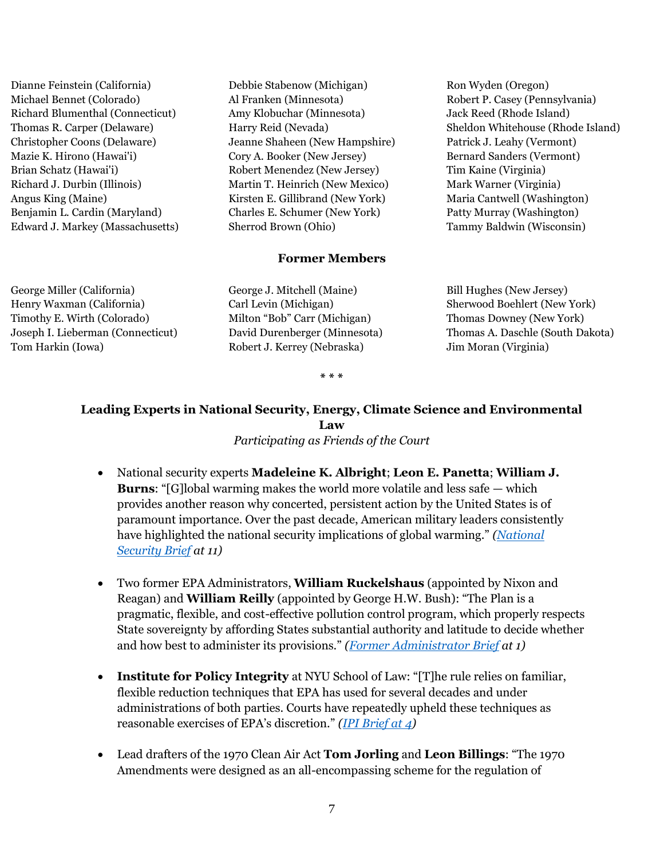Dianne Feinstein (California) Michael Bennet (Colorado) Richard Blumenthal (Connecticut) Thomas R. Carper (Delaware) Christopher Coons (Delaware) Mazie K. Hirono (Hawai'i) Brian Schatz (Hawai'i) Richard J. Durbin (Illinois) Angus King (Maine) Benjamin L. Cardin (Maryland) Edward J. Markey (Massachusetts)

George Miller (California) Henry Waxman (California) Timothy E. Wirth (Colorado) Joseph I. Lieberman (Connecticut) Tom Harkin (Iowa)

Debbie Stabenow (Michigan) Al Franken (Minnesota) Amy Klobuchar (Minnesota) Harry Reid (Nevada) Jeanne Shaheen (New Hampshire) Cory A. Booker (New Jersey) Robert Menendez (New Jersey) Martin T. Heinrich (New Mexico) Kirsten E. Gillibrand (New York) Charles E. Schumer (New York) Sherrod Brown (Ohio)

### **Former Members**

George J. Mitchell (Maine) Carl Levin (Michigan) Milton "Bob" Carr (Michigan) David Durenberger (Minnesota) Robert J. Kerrey (Nebraska)

Ron Wyden (Oregon) Robert P. Casey (Pennsylvania) Jack Reed (Rhode Island) Sheldon Whitehouse (Rhode Island) Patrick J. Leahy (Vermont) Bernard Sanders (Vermont) Tim Kaine (Virginia) Mark Warner (Virginia) Maria Cantwell (Washington) Patty Murray (Washington) Tammy Baldwin (Wisconsin)

Bill Hughes (New Jersey) Sherwood Boehlert (New York) Thomas Downey (New York) Thomas A. Daschle (South Dakota) Jim Moran (Virginia)

**\* \* \***

# **Leading Experts in National Security, Energy, Climate Science and Environmental Law**

*Participating as Friends of the Court*

- National security experts **Madeleine K. Albright**; **Leon E. Panetta**; **William J. Burns**: "[G]lobal warming makes the world more volatile and less safe — which provides another reason why concerted, persistent action by the United States is of paramount importance. Over the past decade, American military leaders consistently have highlighted the national security implications of global warming." *[\(National](https://www.edf.org/sites/default/files/content/2016.04.01_albright_panetta_burns_amicus_brief_for_epa.pdf)  [Security Brief](https://www.edf.org/sites/default/files/content/2016.04.01_albright_panetta_burns_amicus_brief_for_epa.pdf) at 11)*
- Two former EPA Administrators, **William Ruckelshaus** (appointed by Nixon and Reagan) and **William Reilly** (appointed by George H.W. Bush): "The Plan is a pragmatic, flexible, and cost-effective pollution control program, which properly respects State sovereignty by affording States substantial authority and latitude to decide whether and how best to administer its provisions." *[\(Former Administrator Brief](https://www.edf.org/sites/default/files/content/2016.03.31_former_epa_administrators_amicus_brief_for_epa.pdf) at 1)*
- **Institute for Policy Integrity** at NYU School of Law: "[T]he rule relies on familiar, flexible reduction techniques that EPA has used for several decades and under administrations of both parties. Courts have repeatedly upheld these techniques as reasonable exercises of EPA's discretion." *[\(IPI Brief at 4\)](https://www.edf.org/sites/default/files/content/2016.04.01_ipi_amicus_brief_for_epa.pdf)*
- Lead drafters of the 1970 Clean Air Act **Tom Jorling** and **Leon Billings**: "The 1970 Amendments were designed as an all-encompassing scheme for the regulation of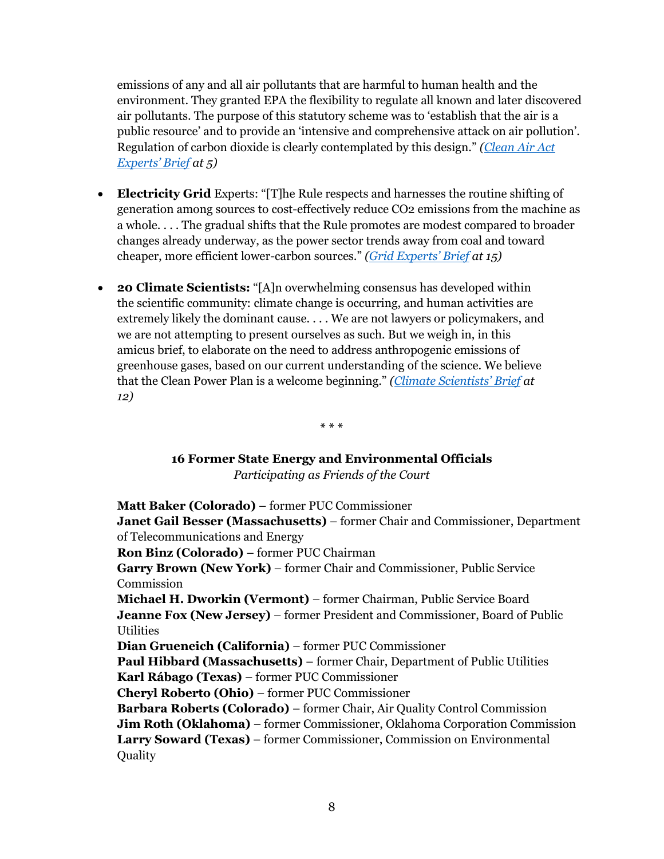emissions of any and all air pollutants that are harmful to human health and the environment. They granted EPA the flexibility to regulate all known and later discovered air pollutants. The purpose of this statutory scheme was to 'establish that the air is a public resource' and to provide an 'intensive and comprehensive attack on air pollution'. Regulation of carbon dioxide is clearly contemplated by this design." *[\(Clean Air Act](https://www.edf.org/sites/default/files/content/2016.04.01_caa_experts_amicus_brief_for_epa.pdf) [Experts](https://www.edf.org/sites/default/files/content/2016.04.01_caa_experts_amicus_brief_for_epa.pdf)' Brief at 5)*

- **Electricity Grid** Experts: "[T]he Rule respects and harnesses the routine shifting of generation among sources to cost-effectively reduce CO2 emissions from the machine as a whole. . . . The gradual shifts that the Rule promotes are modest compared to broader changes already underway, as the power sector trends away from coal and toward cheaper, more efficient lower-carbon sources." *[\(Grid Experts](https://www.edf.org/sites/default/files/content/2016.04.01_grid_experts_amicus_brief_for_epa.pdf)' Brief at 15)*
- **20 Climate Scientists:** "[A]n overwhelming consensus has developed within the scientific community: climate change is occurring, and human activities are extremely likely the dominant cause. . . . We are not lawyers or policymakers, and we are not attempting to present ourselves as such. But we weigh in, in this amicus brief, to elaborate on the need to address anthropogenic emissions of greenhouse gases, based on our current understanding of the science. We believe that the Clean Power Plan is a welcome beginning." *([Climate Scientists' Brief](https://www.edf.org/sites/default/files/content/2016.04.01_climate_scientists_amicus_brief_for_epa.pdf) at 12)*

**\* \* \***

# **16 Former State Energy and Environmental Officials**

*Participating as Friends of the Court*

**Matt Baker (Colorado)** – former PUC Commissioner

**Janet Gail Besser (Massachusetts)** – former Chair and Commissioner, Department of Telecommunications and Energy

**Ron Binz (Colorado)** – former PUC Chairman

**Garry Brown (New York)** – former Chair and Commissioner, Public Service Commission

**Michael H. Dworkin (Vermont)** – former Chairman, Public Service Board **Jeanne Fox (New Jersey)** – former President and Commissioner, Board of Public **Utilities** 

**Dian Grueneich (California)** – former PUC Commissioner

**Paul Hibbard (Massachusetts)** – former Chair, Department of Public Utilities

**Karl Rábago (Texas)** – former PUC Commissioner

**Cheryl Roberto (Ohio)** – former PUC Commissioner

**Barbara Roberts (Colorado)** – former Chair, Air Quality Control Commission **Jim Roth (Oklahoma)** – former Commissioner, Oklahoma Corporation Commission **Larry Soward (Texas)** – former Commissioner, Commission on Environmental

Quality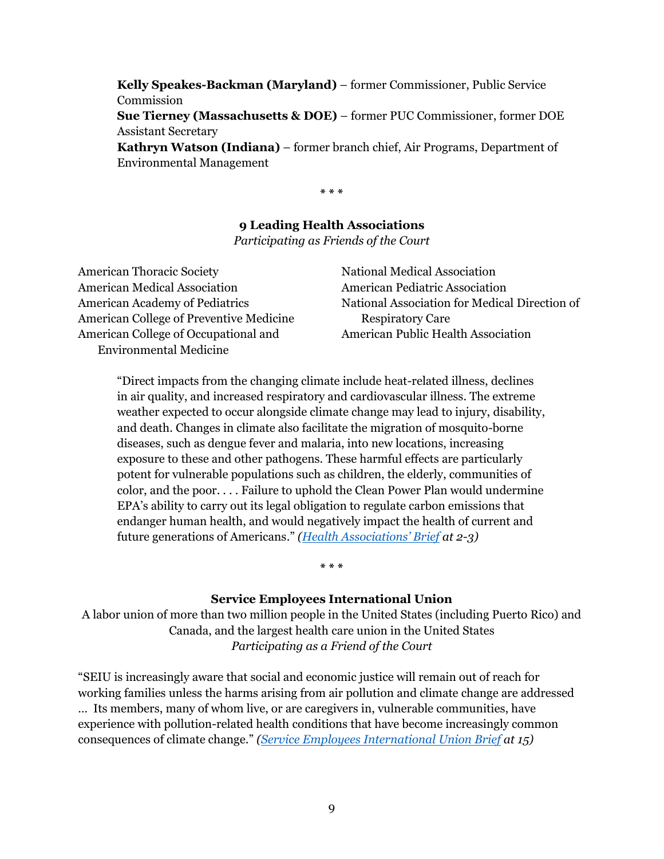**Kelly Speakes-Backman (Maryland)** – former Commissioner, Public Service Commission **Sue Tierney (Massachusetts & DOE)** – former PUC Commissioner, former DOE Assistant Secretary **Kathryn Watson (Indiana)** – former branch chief, Air Programs, Department of Environmental Management

**\* \* \***

# **9 Leading Health Associations**

*Participating as Friends of the Court*

| <b>American Thoracic Society</b>               | National Medical Association                  |
|------------------------------------------------|-----------------------------------------------|
| <b>American Medical Association</b>            | <b>American Pediatric Association</b>         |
| <b>American Academy of Pediatrics</b>          | National Association for Medical Direction of |
| <b>American College of Preventive Medicine</b> | <b>Respiratory Care</b>                       |
| American College of Occupational and           | American Public Health Association            |
| <b>Environmental Medicine</b>                  |                                               |

"Direct impacts from the changing climate include heat-related illness, declines in air quality, and increased respiratory and cardiovascular illness. The extreme weather expected to occur alongside climate change may lead to injury, disability, and death. Changes in climate also facilitate the migration of mosquito-borne diseases, such as dengue fever and malaria, into new locations, increasing exposure to these and other pathogens. These harmful effects are particularly potent for vulnerable populations such as children, the elderly, communities of color, and the poor. . . . Failure to uphold the Clean Power Plan would undermine EPA's ability to carry out its legal obligation to regulate carbon emissions that endanger human health, and would negatively impact the health of current and future generations of Americans." *([Health Associations' Brief](https://www.edf.org/sites/default/files/content/2016.04.01_public_health_organizations_amicus_brief_for_epa.pdf) at 2-3)*

### **Service Employees International Union**

**\* \* \***

A labor union of more than two million people in the United States (including Puerto Rico) and Canada, and the largest health care union in the United States *Participating as a Friend of the Court*

"SEIU is increasingly aware that social and economic justice will remain out of reach for working families unless the harms arising from air pollution and climate change are addressed … Its members, many of whom live, or are caregivers in, vulnerable communities, have experience with pollution-related health conditions that have become increasingly common consequences of climate change." *[\(Service Employees International Union Brief](https://www.edf.org/sites/default/files/content/2016.04.01_seiu_amicus_brief_for_epa.pdf) at 15)*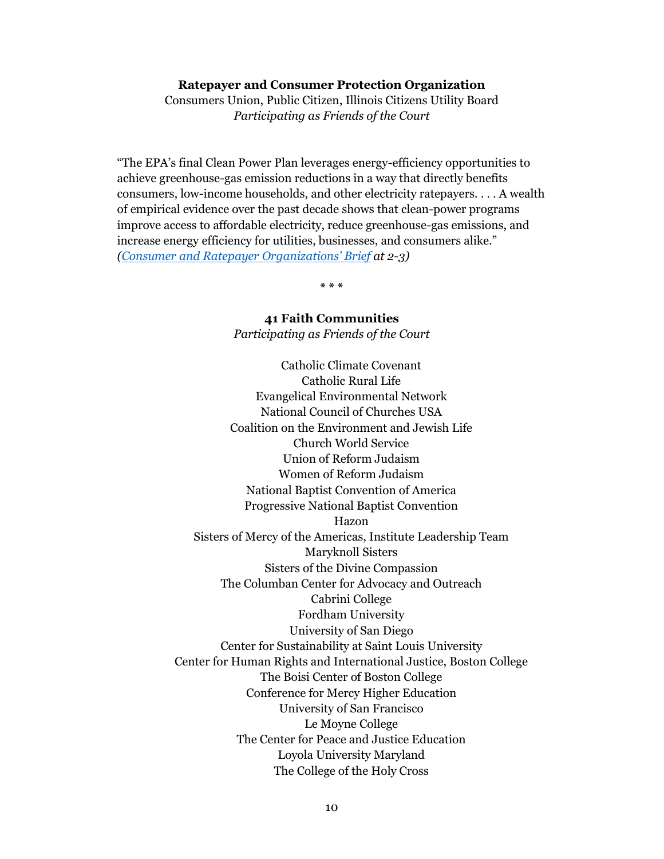#### **Ratepayer and Consumer Protection Organization**

Consumers Union, Public Citizen, Illinois Citizens Utility Board *Participating as Friends of the Court*

"The EPA's final Clean Power Plan leverages energy-efficiency opportunities to achieve greenhouse-gas emission reductions in a way that directly benefits consumers, low-income households, and other electricity ratepayers. . . . A wealth of empirical evidence over the past decade shows that clean-power programs improve access to affordable electricity, reduce greenhouse-gas emissions, and increase energy efficiency for utilities, businesses, and consumers alike." *(Consumer and [Ratepayer Organizations' Brief](https://www.edf.org/sites/default/files/content/2016.04.01_consumers_amicus_brief_for_epa.pdf) at 2-3)*

**\* \* \***

# **41 Faith Communities**

*Participating as Friends of the Court*

Catholic Climate Covenant Catholic Rural Life Evangelical Environmental Network National Council of Churches USA Coalition on the Environment and Jewish Life Church World Service Union of Reform Judaism Women of Reform Judaism National Baptist Convention of America Progressive National Baptist Convention Hazon Sisters of Mercy of the Americas, Institute Leadership Team Maryknoll Sisters Sisters of the Divine Compassion The Columban Center for Advocacy and Outreach Cabrini College Fordham University University of San Diego Center for Sustainability at Saint Louis University Center for Human Rights and International Justice, Boston College The Boisi Center of Boston College Conference for Mercy Higher Education University of San Francisco Le Moyne College The Center for Peace and Justice Education Loyola University Maryland The College of the Holy Cross